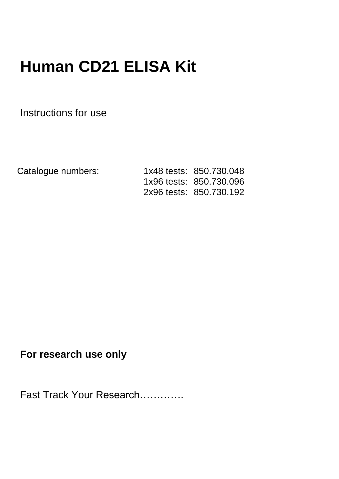# **Human CD21 ELISA Kit**

Instructions for use

Catalogue numbers: 1x48 tests: 850.730.048 1x96 tests: 850.730.096 2x96 tests: 850.730.192

**For research use only** 

Fast Track Your Research………….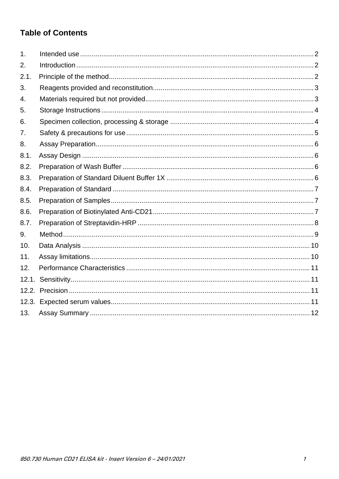### **Table of Contents**

| 1.    |  |
|-------|--|
| 2.    |  |
| 2.1.  |  |
| 3.    |  |
| 4.    |  |
| 5.    |  |
| 6.    |  |
| 7.    |  |
| 8.    |  |
| 8.1.  |  |
| 8.2.  |  |
| 8.3.  |  |
| 8.4.  |  |
| 8.5.  |  |
| 8.6.  |  |
| 8.7.  |  |
| 9.    |  |
| 10.   |  |
| 11.   |  |
| 12.   |  |
| 12.1. |  |
|       |  |
|       |  |
| 13.   |  |
|       |  |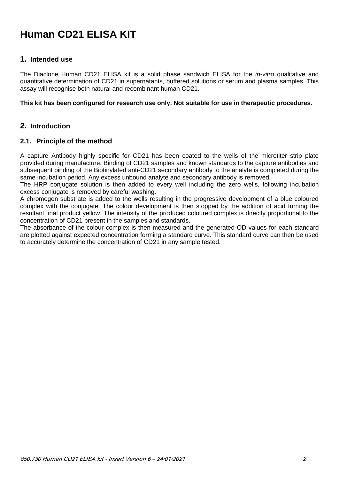## **Human CD21 ELISA KIT**

#### <span id="page-2-0"></span>**1. Intended use**

The Diaclone Human CD21 ELISA kit is a solid phase sandwich ELISA for the *in-vitro* qualitative and quantitative determination of CD21 in supernatants, buffered solutions or serum and plasma samples. This assay will recognise both natural and recombinant human CD21.

#### **This kit has been configured for research use only. Not suitable for use in therapeutic procedures.**

#### <span id="page-2-1"></span>**2. Introduction**

#### <span id="page-2-2"></span>**2.1. Principle of the method**

A capture Antibody highly specific for CD21 has been coated to the wells of the microtiter strip plate provided during manufacture. Binding of CD21 samples and known standards to the capture antibodies and subsequent binding of the Biotinylated anti-CD21 secondary antibody to the analyte is completed during the same incubation period. Any excess unbound analyte and secondary antibody is removed.

The HRP conjugate solution is then added to every well including the zero wells, following incubation excess conjugate is removed by careful washing.

A chromogen substrate is added to the wells resulting in the progressive development of a blue coloured complex with the conjugate. The colour development is then stopped by the addition of acid turning the resultant final product yellow. The intensity of the produced coloured complex is directly proportional to the concentration of CD21 present in the samples and standards.

The absorbance of the colour complex is then measured and the generated OD values for each standard are plotted against expected concentration forming a standard curve. This standard curve can then be used to accurately determine the concentration of CD21 in any sample tested.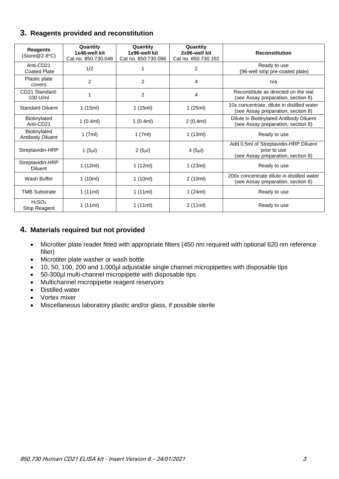#### <span id="page-3-0"></span>**3. Reagents provided and reconstitution**

| <b>Reagents</b><br>$(Store@2-8°C)$             | Quantity<br>1x48-well kit<br>Cat no. 850.730.048 | Quantity<br>1x96-well kit<br>Cat no. 850.730.096 | Quantity<br>2x96-well kit<br>Cat no. 850.730.192 | <b>Reconstitution</b>                                                                       |
|------------------------------------------------|--------------------------------------------------|--------------------------------------------------|--------------------------------------------------|---------------------------------------------------------------------------------------------|
| Anti-CD21<br><b>Coated Plate</b>               | 1/2                                              |                                                  | $\overline{2}$                                   | Ready to use<br>(96-well strip pre-coated plate)                                            |
| Plastic plate<br>covers                        | $\overline{2}$                                   | $\overline{2}$                                   | 4                                                | n/a                                                                                         |
| CD21 Standard:<br>100 U/ml                     | 1                                                | $\overline{2}$                                   | 4                                                | Reconstitute as directed on the vial<br>(see Assay preparation, section 8)                  |
| <b>Standard Diluent</b>                        | 1(15ml)                                          | 1(15ml)<br>1(25ml)                               |                                                  | 10x concentrate, dilute in distilled water<br>(see Assay preparation, section 8)            |
| Biotinylated<br>Anti-CD21                      | 1(0.4ml)                                         | 1(0.4ml)                                         | 2(0.4ml)                                         | Dilute in Biotinylated Antibody Diluent<br>(see Assay preparation, section 8)               |
| Biotinylated<br>Antibody Diluent               | 1(7ml)                                           | 1(7ml)                                           | 1(13ml)                                          | Ready to use                                                                                |
| Streptavidin-HRP                               | 1 $(5µ)$                                         | $2(5\mu l)$                                      | 4(5µ)                                            | Add 0.5ml of Streptavidin-HRP Diluent<br>prior to use<br>(see Assay preparation, section 8) |
| Streptavidin-HRP<br><b>Diluent</b>             | 1 $(12ml)$                                       | 1(12ml)                                          | 1(23ml)                                          | Ready to use                                                                                |
| Wash Buffer                                    | 1(10ml)                                          | 1(10ml)                                          | 2(10ml)                                          | 200x concentrate dilute in distilled water<br>(see Assay preparation, section 8)            |
| <b>TMB Substrate</b>                           | 1(11ml)                                          | 1(11ml)                                          | 1(24ml)                                          | Ready to use                                                                                |
| H <sub>2</sub> SO <sub>4</sub><br>Stop Reagent | 1(11ml)                                          | 1(11ml)                                          | 2(11ml)                                          | Ready to use                                                                                |

#### <span id="page-3-1"></span>**4. Materials required but not provided**

- Microtiter plate reader fitted with appropriate filters (450 nm required with optional 620 nm reference filter)
- Microtiter plate washer or wash bottle
- 10, 50, 100, 200 and 1,000µl adjustable single channel micropipettes with disposable tips
- 50-300µl multi-channel micropipette with disposable tips
- Multichannel micropipette reagent reservoirs
- Distilled water
- Vortex mixer
- Miscellaneous laboratory plastic and/or glass, if possible sterile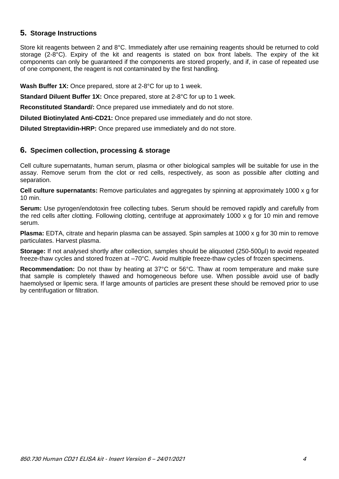#### <span id="page-4-0"></span>**5. Storage Instructions**

Store kit reagents between 2 and 8°C. Immediately after use remaining reagents should be returned to cold storage (2-8°C). Expiry of the kit and reagents is stated on box front labels. The expiry of the kit components can only be guaranteed if the components are stored properly, and if, in case of repeated use of one component, the reagent is not contaminated by the first handling.

**Wash Buffer 1X:** Once prepared, store at 2-8°C for up to 1 week.

**Standard Diluent Buffer 1X:** Once prepared, store at 2-8°C for up to 1 week.

**Reconstituted Standard/:** Once prepared use immediately and do not store.

**Diluted Biotinylated Anti-CD21:** Once prepared use immediately and do not store.

**Diluted Streptavidin-HRP:** Once prepared use immediately and do not store.

#### <span id="page-4-1"></span>**6. Specimen collection, processing & storage**

Cell culture supernatants, human serum, plasma or other biological samples will be suitable for use in the assay. Remove serum from the clot or red cells, respectively, as soon as possible after clotting and separation.

**Cell culture supernatants:** Remove particulates and aggregates by spinning at approximately 1000 x g for 10 min.

**Serum:** Use pyrogen/endotoxin free collecting tubes. Serum should be removed rapidly and carefully from the red cells after clotting. Following clotting, centrifuge at approximately 1000 x g for 10 min and remove serum.

**Plasma:** EDTA, citrate and heparin plasma can be assayed. Spin samples at 1000 x g for 30 min to remove particulates. Harvest plasma.

**Storage:** If not analysed shortly after collection, samples should be aliquoted (250-500μl) to avoid repeated freeze-thaw cycles and stored frozen at –70°C. Avoid multiple freeze-thaw cycles of frozen specimens.

**Recommendation:** Do not thaw by heating at 37°C or 56°C. Thaw at room temperature and make sure that sample is completely thawed and homogeneous before use. When possible avoid use of badly haemolysed or lipemic sera. If large amounts of particles are present these should be removed prior to use by centrifugation or filtration.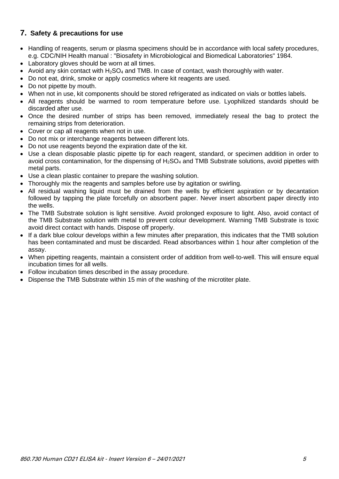#### <span id="page-5-0"></span>**7. Safety & precautions for use**

- Handling of reagents, serum or plasma specimens should be in accordance with local safety procedures, e.g. CDC/NIH Health manual : "Biosafety in Microbiological and Biomedical Laboratories" 1984.
- Laboratory gloves should be worn at all times.
- Avoid any skin contact with  $H_2SO_4$  and TMB. In case of contact, wash thoroughly with water.
- Do not eat, drink, smoke or apply cosmetics where kit reagents are used.
- Do not pipette by mouth.
- When not in use, kit components should be stored refrigerated as indicated on vials or bottles labels.
- All reagents should be warmed to room temperature before use. Lyophilized standards should be discarded after use.
- Once the desired number of strips has been removed, immediately reseal the bag to protect the remaining strips from deterioration.
- Cover or cap all reagents when not in use.
- Do not mix or interchange reagents between different lots.
- Do not use reagents beyond the expiration date of the kit.
- Use a clean disposable plastic pipette tip for each reagent, standard, or specimen addition in order to avoid cross contamination, for the dispensing of  $H_2SO_4$  and TMB Substrate solutions, avoid pipettes with metal parts.
- Use a clean plastic container to prepare the washing solution.
- Thoroughly mix the reagents and samples before use by agitation or swirling.
- All residual washing liquid must be drained from the wells by efficient aspiration or by decantation followed by tapping the plate forcefully on absorbent paper. Never insert absorbent paper directly into the wells.
- The TMB Substrate solution is light sensitive. Avoid prolonged exposure to light. Also, avoid contact of the TMB Substrate solution with metal to prevent colour development. Warning TMB Substrate is toxic avoid direct contact with hands. Dispose off properly.
- If a dark blue colour develops within a few minutes after preparation, this indicates that the TMB solution has been contaminated and must be discarded. Read absorbances within 1 hour after completion of the assay.
- When pipetting reagents, maintain a consistent order of addition from well-to-well. This will ensure equal incubation times for all wells.
- Follow incubation times described in the assay procedure.
- Dispense the TMB Substrate within 15 min of the washing of the microtiter plate.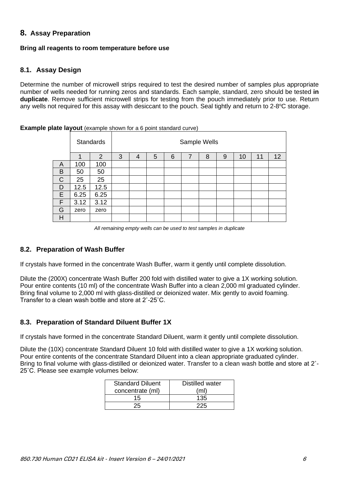#### <span id="page-6-0"></span>**8. Assay Preparation**

#### **Bring all reagents to room temperature before use**

#### <span id="page-6-1"></span>**8.1. Assay Design**

Determine the number of microwell strips required to test the desired number of samples plus appropriate number of wells needed for running zeros and standards. Each sample, standard, zero should be tested **in duplicate**. Remove sufficient microwell strips for testing from the pouch immediately prior to use. Return any wells not required for this assay with desiccant to the pouch. Seal tightly and return to 2-8°C storage.

Standards | Standards | Standards | Standards | Sample Wells 1 | 2 | 3 | 4 | 5 | 6 | 7 | 8 | 9 | 10 | 11 | 12 A 100 100 B 50 50  $C$  25 25  $D$  | 12.5 | 12.5  $E$  6.25 6.25  $F$  3.12 3.12 G zero zero H

**Example plate layout** (example shown for a 6 point standard curve)

*All remaining empty wells can be used to test samples in duplicate*

#### <span id="page-6-2"></span>**8.2. Preparation of Wash Buffer**

If crystals have formed in the concentrate Wash Buffer, warm it gently until complete dissolution.

Dilute the (200X) concentrate Wash Buffer 200 fold with distilled water to give a 1X working solution. Pour entire contents (10 ml) of the concentrate Wash Buffer into a clean 2,000 ml graduated cylinder. Bring final volume to 2,000 ml with glass-distilled or deionized water. Mix gently to avoid foaming. Transfer to a clean wash bottle and store at 2˚-25˚C.

#### <span id="page-6-3"></span>**8.3. Preparation of Standard Diluent Buffer 1X**

If crystals have formed in the concentrate Standard Diluent, warm it gently until complete dissolution.

Dilute the (10X) concentrate Standard Diluent 10 fold with distilled water to give a 1X working solution. Pour entire contents of the concentrate Standard Diluent into a clean appropriate graduated cylinder. Bring to final volume with glass-distilled or deionized water. Transfer to a clean wash bottle and store at 2˚- 25˚C. Please see example volumes below:

| <b>Standard Diluent</b> | Distilled water |
|-------------------------|-----------------|
| concentrate (ml)        | (ml)            |
| 15                      | 135             |
|                         |                 |
|                         |                 |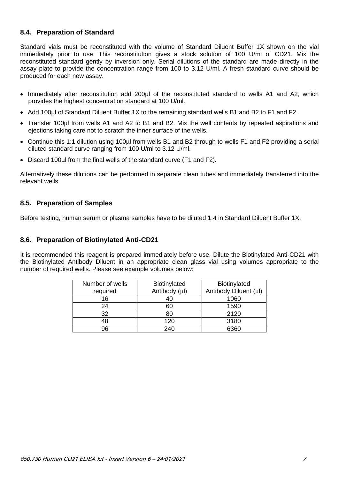#### <span id="page-7-0"></span>**8.4. Preparation of Standard**

Standard vials must be reconstituted with the volume of Standard Diluent Buffer 1X shown on the vial immediately prior to use. This reconstitution gives a stock solution of 100 U/ml of CD21. Mix the reconstituted standard gently by inversion only. Serial dilutions of the standard are made directly in the assay plate to provide the concentration range from 100 to 3.12 U/ml. A fresh standard curve should be produced for each new assay.

- Immediately after reconstitution add 200µl of the reconstituted standard to wells A1 and A2, which provides the highest concentration standard at 100 U/ml.
- Add 100µl of Standard Diluent Buffer 1X to the remaining standard wells B1 and B2 to F1 and F2.
- Transfer 100µl from wells A1 and A2 to B1 and B2. Mix the well contents by repeated aspirations and ejections taking care not to scratch the inner surface of the wells.
- Continue this 1:1 dilution using 100µl from wells B1 and B2 through to wells F1 and F2 providing a serial diluted standard curve ranging from 100 U/ml to 3.12 U/ml.
- Discard 100µl from the final wells of the standard curve (F1 and F2).

Alternatively these dilutions can be performed in separate clean tubes and immediately transferred into the relevant wells.

#### <span id="page-7-1"></span>**8.5. Preparation of Samples**

Before testing, human serum or plasma samples have to be diluted 1:4 in Standard Diluent Buffer 1X.

#### <span id="page-7-2"></span>**8.6. Preparation of Biotinylated Anti-CD21**

It is recommended this reagent is prepared immediately before use. Dilute the Biotinylated Anti-CD21 with the Biotinylated Antibody Diluent in an appropriate clean glass vial using volumes appropriate to the number of required wells. Please see example volumes below:

| Number of wells | Biotinylated  | Biotinylated          |
|-----------------|---------------|-----------------------|
| required        | Antibody (µl) | Antibody Diluent (µl) |
| 16              | 40            | 1060                  |
| 24              | 60            | 1590                  |
| 32              | 80            | 2120                  |
| 48              | 120           | 3180                  |
| 96              | 240           | 6360                  |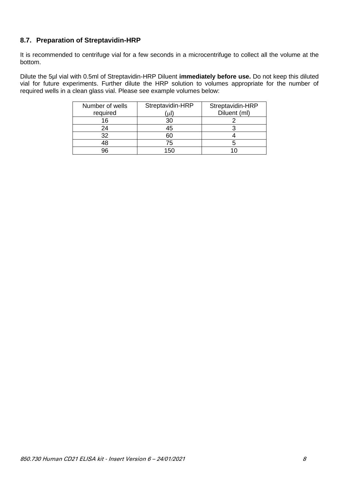#### <span id="page-8-0"></span>**8.7. Preparation of Streptavidin-HRP**

It is recommended to centrifuge vial for a few seconds in a microcentrifuge to collect all the volume at the bottom.

Dilute the 5µl vial with 0.5ml of Streptavidin-HRP Diluent **immediately before use.** Do not keep this diluted vial for future experiments. Further dilute the HRP solution to volumes appropriate for the number of required wells in a clean glass vial. Please see example volumes below:

| Number of wells | Streptavidin-HRP | Streptavidin-HRP |
|-----------------|------------------|------------------|
| required        | ΄uΙ              | Diluent (ml)     |
| 16              | 3 <sub>C</sub>   |                  |
| 24              | 45               |                  |
| 32              | 60               |                  |
| 18              | 75               |                  |
| 96              | 150              |                  |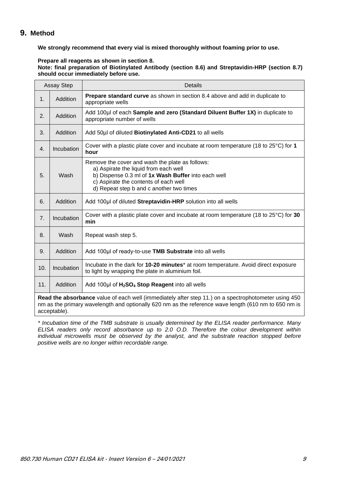#### <span id="page-9-0"></span>**9. Method**

**We strongly recommend that every vial is mixed thoroughly without foaming prior to use.**

#### **Prepare all reagents as shown in section 8.**

**Note: final preparation of Biotinylated Antibody (section 8.6) and Streptavidin-HRP (section 8.7) should occur immediately before use.**

| <b>Assay Step</b>                                                                                                                                                                                                            |            | <b>Details</b>                                                                                                                                                                                                                       |  |  |  |  |  |
|------------------------------------------------------------------------------------------------------------------------------------------------------------------------------------------------------------------------------|------------|--------------------------------------------------------------------------------------------------------------------------------------------------------------------------------------------------------------------------------------|--|--|--|--|--|
| $\mathbf{1}$ .                                                                                                                                                                                                               | Addition   | <b>Prepare standard curve</b> as shown in section 8.4 above and add in duplicate to<br>appropriate wells                                                                                                                             |  |  |  |  |  |
| 2.                                                                                                                                                                                                                           | Addition   | Add 100µl of each Sample and zero (Standard Diluent Buffer 1X) in duplicate to<br>appropriate number of wells                                                                                                                        |  |  |  |  |  |
| 3.                                                                                                                                                                                                                           | Addition   | Add 50µl of diluted Biotinylated Anti-CD21 to all wells                                                                                                                                                                              |  |  |  |  |  |
| 4.                                                                                                                                                                                                                           | Incubation | Cover with a plastic plate cover and incubate at room temperature (18 to $25^{\circ}$ C) for 1<br>hour                                                                                                                               |  |  |  |  |  |
| 5.                                                                                                                                                                                                                           | Wash       | Remove the cover and wash the plate as follows:<br>a) Aspirate the liquid from each well<br>b) Dispense 0.3 ml of 1x Wash Buffer into each well<br>c) Aspirate the contents of each well<br>d) Repeat step b and c another two times |  |  |  |  |  |
| 6.                                                                                                                                                                                                                           | Addition   | Add 100µl of diluted Streptavidin-HRP solution into all wells                                                                                                                                                                        |  |  |  |  |  |
| 7.                                                                                                                                                                                                                           | Incubation | Cover with a plastic plate cover and incubate at room temperature (18 to $25^{\circ}$ C) for 30<br>min                                                                                                                               |  |  |  |  |  |
| 8.                                                                                                                                                                                                                           | Wash       | Repeat wash step 5.                                                                                                                                                                                                                  |  |  |  |  |  |
| 9.                                                                                                                                                                                                                           | Addition   | Add 100µl of ready-to-use TMB Substrate into all wells                                                                                                                                                                               |  |  |  |  |  |
| 10.                                                                                                                                                                                                                          | Incubation | Incubate in the dark for 10-20 minutes* at room temperature. Avoid direct exposure<br>to light by wrapping the plate in aluminium foil.                                                                                              |  |  |  |  |  |
| 11.                                                                                                                                                                                                                          | Addition   | Add 100µl of H <sub>2</sub> SO <sub>4</sub> Stop Reagent into all wells                                                                                                                                                              |  |  |  |  |  |
| Read the absorbance value of each well (immediately after step 11.) on a spectrophotometer using 450<br>nm as the primary wavelength and optionally 620 nm as the reference wave length (610 nm to 650 nm is<br>acceptable). |            |                                                                                                                                                                                                                                      |  |  |  |  |  |

*\* Incubation time of the TMB substrate is usually determined by the ELISA reader performance. Many ELISA readers only record absorbance up to 2.0 O.D. Therefore the colour development within*  individual microwells must be observed by the analyst, and the substrate reaction stopped before *positive wells are no longer within recordable range.*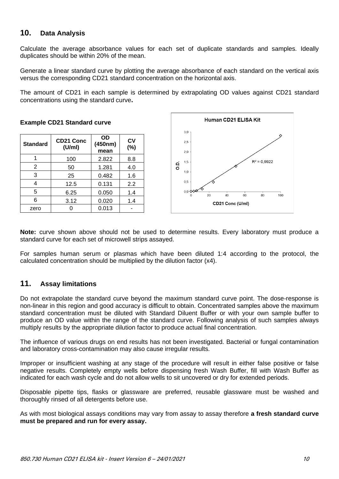#### <span id="page-10-0"></span>**10. Data Analysis**

Calculate the average absorbance values for each set of duplicate standards and samples. Ideally duplicates should be within 20% of the mean.

Generate a linear standard curve by plotting the average absorbance of each standard on the vertical axis versus the corresponding CD21 standard concentration on the horizontal axis.

The amount of CD21 in each sample is determined by extrapolating OD values against CD21 standard concentrations using the standard curve**.**

| <b>Standard</b> | <b>CD21 Conc</b><br>(U/ml) | <b>OD</b><br>(450nm)<br>mean | <b>CV</b><br>(%) |
|-----------------|----------------------------|------------------------------|------------------|
|                 | 100                        | 2.822                        | 8.8              |
| 2               | 50                         | 1.281                        | 4.0              |
| 3               | 25                         | 0.482                        | 1.6              |
| 4<br>12.5       |                            | 0.131                        | 2.2              |
| 5               | 6.25                       | 0.050                        | 1.4              |
| 6               | 3.12                       | 0.020                        | 1.4              |
| zero            |                            | 0.013                        |                  |

**Example CD21 Standard curve** 



**Note:** curve shown above should not be used to determine results. Every laboratory must produce a standard curve for each set of microwell strips assayed.

For samples human serum or plasmas which have been diluted 1:4 according to the protocol, the calculated concentration should be multiplied by the dilution factor (x4).

#### <span id="page-10-1"></span>**11. Assay limitations**

Do not extrapolate the standard curve beyond the maximum standard curve point. The dose-response is non-linear in this region and good accuracy is difficult to obtain. Concentrated samples above the maximum standard concentration must be diluted with Standard Diluent Buffer or with your own sample buffer to produce an OD value within the range of the standard curve. Following analysis of such samples always multiply results by the appropriate dilution factor to produce actual final concentration.

The influence of various drugs on end results has not been investigated. Bacterial or fungal contamination and laboratory cross-contamination may also cause irregular results.

Improper or insufficient washing at any stage of the procedure will result in either false positive or false negative results. Completely empty wells before dispensing fresh Wash Buffer, fill with Wash Buffer as indicated for each wash cycle and do not allow wells to sit uncovered or dry for extended periods.

Disposable pipette tips, flasks or glassware are preferred, reusable glassware must be washed and thoroughly rinsed of all detergents before use.

As with most biological assays conditions may vary from assay to assay therefore **a fresh standard curve must be prepared and run for every assay.**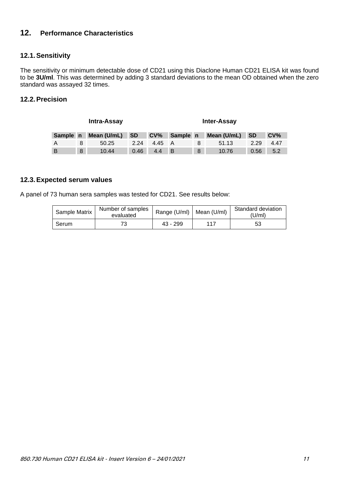#### <span id="page-11-0"></span>**12. Performance Characteristics**

#### <span id="page-11-1"></span>**12.1.Sensitivity**

The sensitivity or minimum detectable dose of CD21 using this Diaclone Human CD21 ELISA kit was found to be **3U/ml**. This was determined by adding 3 standard deviations to the mean OD obtained when the zero standard was assayed 32 times.

#### <span id="page-11-2"></span>**12.2.Precision**

| <b>Intra-Assay</b> |   |             | <b>Inter-Assay</b> |                 |          |   |             |           |                 |  |
|--------------------|---|-------------|--------------------|-----------------|----------|---|-------------|-----------|-----------------|--|
| Sample n           |   | Mean (U/mL) | <b>SD</b>          | CV <sub>6</sub> | Sample n |   | Mean (U/mL) | <b>SD</b> | CV <sub>6</sub> |  |
| A                  |   | 50.25       | 2.24               | 4.45            |          |   | 51.13       | 2.29      | 4.47            |  |
| B                  | 8 | 10.44       | 0.46               | 4.4             | ΙB       | 8 | 10.76       | 0.56      | 5.2             |  |

#### <span id="page-11-3"></span>**12.3.Expected serum values**

A panel of 73 human sera samples was tested for CD21. See results below:

| Sample Matrix | Number of samples<br>evaluated | Range (U/ml)   Mean (U/ml) |     | Standard deviation<br>'U/ml) |  |
|---------------|--------------------------------|----------------------------|-----|------------------------------|--|
| Serum         |                                | $43 - 299$                 | 117 | 53                           |  |